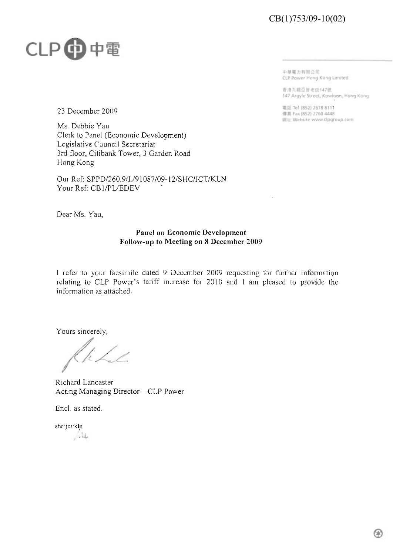# $CB(1)753/09-10(02)$

# **CLP** 嘈

中華電力有限公司 CLP Power Hong Kong Limited

香港九眼亞皆老街147號 147 Argyle Street, Kowloon, Hong Kong

電話 Tel (852) 2678 8111 傅真 Fax (852) 2760 4448 阑址 Website www.clpgroup.com

23 December 2009

Ms. Debbie Yau Clerk to Panel (Economic Development) Legislative Council Secretariat 3rd floor, Citibank Tower, 3 Garden Road Hong Kong

Our Ref: SPPD/260.9/L/91087/09-12/SHC/JCT/KLN Your Ref: CB1/PL/EDEV

Dear Ms. Yau,

## Panel on Economic Development Follow-up to Meeting on 8 December 2009

I refer to your facsimile dated 9 December 2009 requesting for further information relating to CLP Power's tariff increase for 2010 and I am pleased to provide the information as attached.

Yours sincerely,

Richard Lancaster Acting Managing Director - CLP Power

Encl. as stated.

she:jet:kln

 $/11$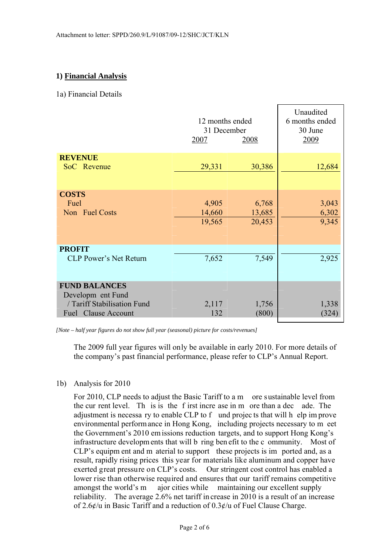# **1) Financial Analysis**

### 1a) Financial Details

|                                                                                                        | 12 months ended<br>31 December<br>2008<br>2007 |                           | Unaudited<br>6 months ended<br>30 June<br>2009 |
|--------------------------------------------------------------------------------------------------------|------------------------------------------------|---------------------------|------------------------------------------------|
| <b>REVENUE</b><br>SoC Revenue                                                                          | 29,331                                         | 30,386                    | 12,684                                         |
| <b>COSTS</b><br>Fuel<br>Non Fuel Costs                                                                 | 4,905<br>14,660<br>19,565                      | 6,768<br>13,685<br>20,453 | 3,043<br>6,302<br>9,345                        |
| <b>PROFIT</b><br><b>CLP Power's Net Return</b>                                                         | 7,652                                          | 7,549                     | 2,925                                          |
| <b>FUND BALANCES</b><br>Developm ent Fund<br>/ Tariff Stabilisation Fund<br><b>Fuel Clause Account</b> | 2,117<br>132                                   | 1,756<br>(800)            | 1,338<br>(324)                                 |

*[Note – half year figures do not show full year (seasonal) picture for costs/revenues]* 

The 2009 full year figures will only be available in early 2010. For more details of the company's past financial performance, please refer to CLP's Annual Report.

#### 1b) Analysis for 2010

For 2010, CLP needs to adjust the Basic Tariff to a m ore sustainable level from the cur rent level. Th is is the f irst incre ase in m ore than a dec ade. The adjustment is necessa ry to enable CLP to f und projec ts that will h elp im prove environmental performance in Hong Kong, including projects necessary to m eet the Government's 2010 em issions reduction targets, and to support Hong Kong's infrastructure developm ents that will b ring ben efit to the c ommunity. Most of CLP's equipm ent and m aterial to support these projects is im ported and, as a result, rapidly rising prices this year for materials like aluminum and copper have exerted great pressure on CLP's costs. Our stringent cost control has enabled a lower rise than otherwise required and ensures that our tariff remains competitive amongst the world's m ajor cities while maintaining our excellent supply reliability. The average 2.6% net tariff in crease in 2010 is a result of an increase of 2.6¢/u in Basic Tariff and a reduction of 0.3¢/u of Fuel Clause Charge.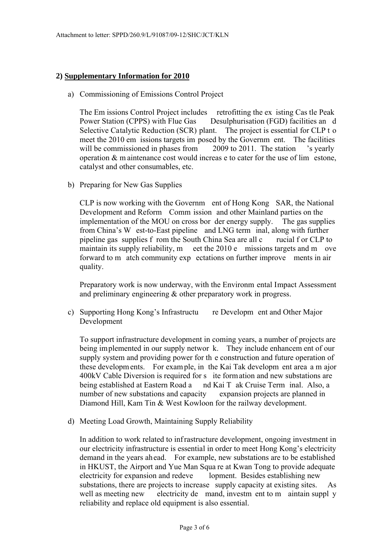#### **2) Supplementary Information for 2010**

a) Commissioning of Emissions Control Project

The Em issions Control Project includes retrofitting the ex isting Cas tle Peak Power Station (CPPS) with Flue Gas Desulphurisation (FGD) facilities an d Selective Catalytic Reduction (SCR) plant. The project is essential for CLP t o meet the 2010 em issions targets im posed by the Governm ent. The facilities will be commissioned in phases from 2009 to 2011. The station s vearly operation  $\&$  m aintenance cost would increas e to cater for the use of lim estone, catalyst and other consumables, etc.

b) Preparing for New Gas Supplies

CLP is now working with the Governm ent of Hong Kong SAR, the National Development and Reform Comm ission and other Mainland parties on the implementation of the MOU on cross bor der energy supply. The gas supplies from China's W est-to-East pipeline and LNG term inal, along with further pipeline gas supplies f rom the South China Sea are all c rucial f or CLP to maintain its supply reliability, m eet the 2010 e missions targets and m ove forward to m atch community exp ectations on further improve ments in air quality.

Preparatory work is now underway, with the Environm ental Impact Assessment and preliminary engineering & other preparatory work in progress.

c) Supporting Hong Kong's Infrastructu re Developm ent and Other Major Development

To support infrastructure development in coming years, a number of projects are being implemented in our supply networ k. They include enhancem ent of our supply system and providing power for th e construction and future operation of these developm ents. For exam ple, in the Kai Tak developm ent area a m ajor 400kV Cable Diversion is required for s ite formation and new substations are being established at Eastern Road a nd Kai T ak Cruise Term inal. Also, a number of new substations and capacity expansion projects are planned in Diamond Hill, Kam Tin & West Kowloon for the railway development.

d) Meeting Load Growth, Maintaining Supply Reliability

In addition to work related to inf rastructure development, ongoing investment in our electricity infrastructure is essential in order to meet Hong Kong's electricity demand in the years ahead. For example, new substations are to be established in HKUST, the Airport and Yue Man Squa re at Kwan Tong to provide adequate electricity for expansion and redeve lopment. Besides establishing new substations, there are projects to increase supply capacity at existing sites. As well as meeting new electricity de mand, investment to m aintain supply reliability and replace old equipment is also essential.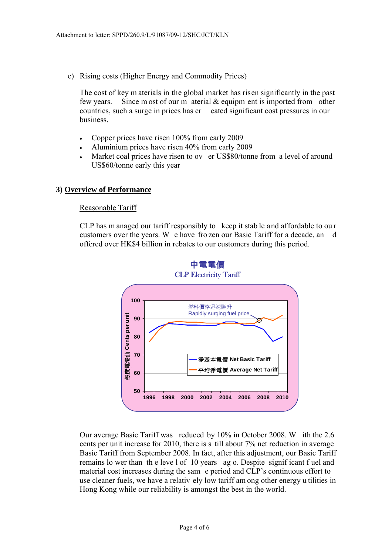e) Rising costs (Higher Energy and Commodity Prices)

The cost of key m aterials in the global market has risen significantly in the past few years. Since m ost of our m aterial & equipm ent is imported from other countries, such a surge in prices has cr eated significant cost pressures in our business.

- Copper prices have risen 100% from early 2009
- Aluminium prices have risen 40% from early 2009
- Market coal prices have risen to ov er US\$80/tonne from a level of around US\$60/tonne early this year

#### **3) Overview of Performance**

#### Reasonable Tariff

CLP has m anaged our tariff responsibly to keep it stab le and affordable to ou r customers over the years. W e have fro zen our Basic Tariff for a decade, an d offered over HK\$4 billion in rebates to our customers during this period.



Our average Basic Tariff was reduced by 10% in October 2008. W ith the 2.6 cents per unit increase for 2010, there is s till about 7% net reduction in average Basic Tariff from September 2008. In fact, after this adjustment, our Basic Tariff remains lo wer than th e leve l of 10 years ag o. Despite signif icant f uel and material cost increases during the sam e period and CLP's continuous effort to use cleaner fuels, we have a relativ ely low tariff am ong other energy u tilities in Hong Kong while our reliability is amongst the best in the world.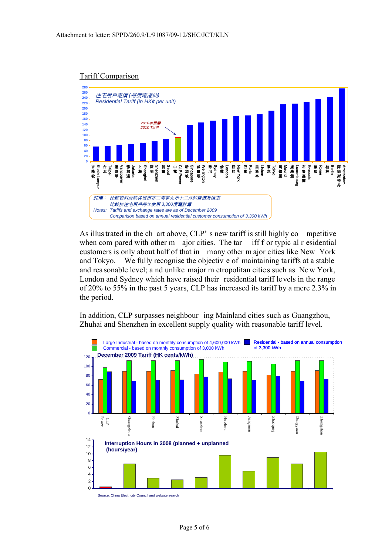

#### Tariff Comparison

As illus trated in the ch art above, CLP' s new tariff is still highly co mpetitive when com pared with other m ajor cities. The tar iff f or typic al r esidential customers is only about half of that in many other m ajor cities like New York and Tokyo. We fully recognise the objectiv e of maintaining tariffs at a stable and reasonable level; a nd unlike major m etropolitan cities such as New York, London and Sydney which have raised their residential tariff levels in the range of 20% to 55% in the past 5 years, CLP has increased its tariff by a mere 2.3% in the period.

In addition, CLP surpasses neighbour ing Mainland cities such as Guangzhou, Zhuhai and Shenzhen in excellent supply quality with reasonable tariff level.